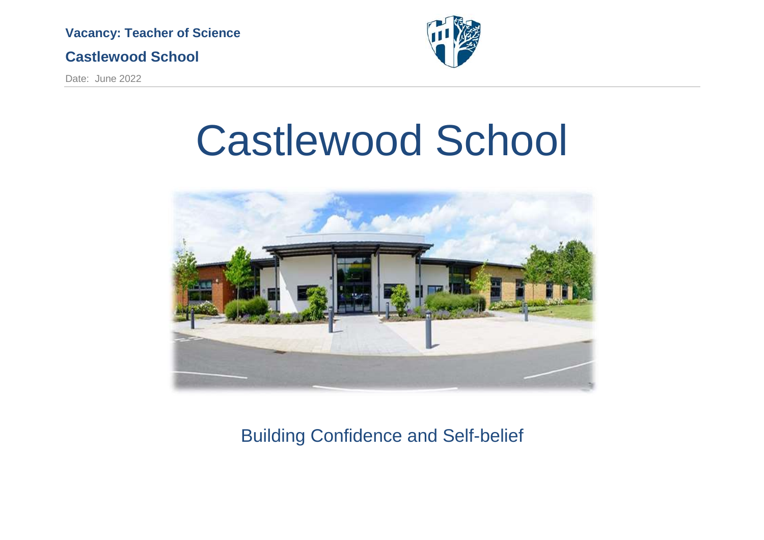

### **Castlewood School**

Date: June 2022



# Castlewood School



Building Confidence and Self-belief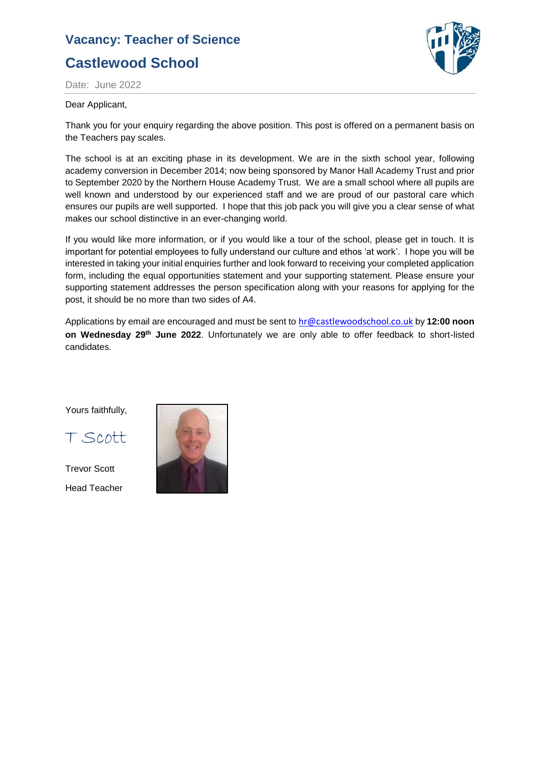

Date: June 2022

#### Dear Applicant,

Thank you for your enquiry regarding the above position. This post is offered on a permanent basis on the Teachers pay scales.

The school is at an exciting phase in its development. We are in the sixth school year, following academy conversion in December 2014; now being sponsored by Manor Hall Academy Trust and prior to September 2020 by the Northern House Academy Trust. We are a small school where all pupils are well known and understood by our experienced staff and we are proud of our pastoral care which ensures our pupils are well supported. I hope that this job pack you will give you a clear sense of what makes our school distinctive in an ever-changing world.

If you would like more information, or if you would like a tour of the school, please get in touch. It is important for potential employees to fully understand our culture and ethos 'at work'. I hope you will be interested in taking your initial enquiries further and look forward to receiving your completed application form, including the equal opportunities statement and your supporting statement. Please ensure your supporting statement addresses the person specification along with your reasons for applying for the post, it should be no more than two sides of A4.

Applications by email are encouraged and must be sent to [hr@castlewoodschool.co.uk](mailto:hr@castlewoodschool.co.uk) by **12:00 noon on Wednesday 29th June 2022**. Unfortunately we are only able to offer feedback to short-listed candidates.

Yours faithfully,

T Scott

Trevor Scott Head Teacher

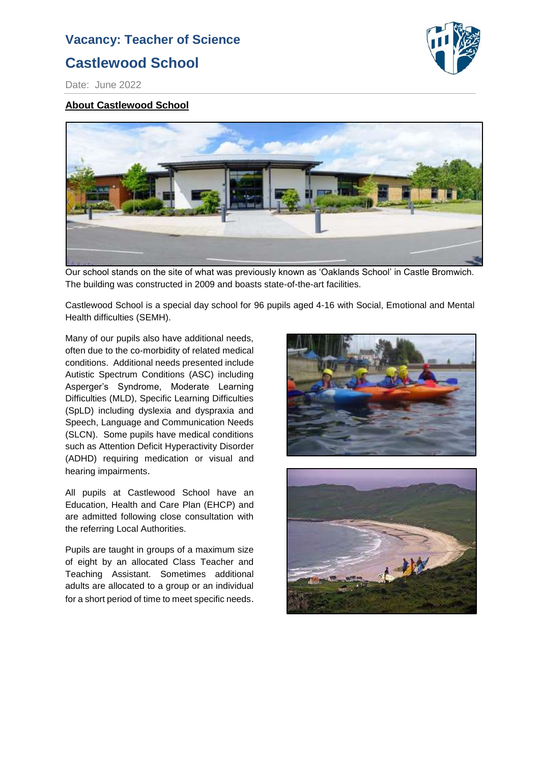# **Castlewood School**



Date: June 2022

#### **About Castlewood School**



Our school stands on the site of what was previously known as 'Oaklands School' in Castle Bromwich. The building was constructed in 2009 and boasts state-of-the-art facilities.

Castlewood School is a special day school for 96 pupils aged 4-16 with Social, Emotional and Mental Health difficulties (SEMH).

Many of our pupils also have additional needs, often due to the co-morbidity of related medical conditions. Additional needs presented include Autistic Spectrum Conditions (ASC) including Asperger's Syndrome, Moderate Learning Difficulties (MLD), Specific Learning Difficulties (SpLD) including dyslexia and dyspraxia and Speech, Language and Communication Needs (SLCN). Some pupils have medical conditions such as Attention Deficit Hyperactivity Disorder (ADHD) requiring medication or visual and hearing impairments.

All pupils at Castlewood School have an Education, Health and Care Plan (EHCP) and are admitted following close consultation with the referring Local Authorities.

Pupils are taught in groups of a maximum size of eight by an allocated Class Teacher and Teaching Assistant. Sometimes additional adults are allocated to a group or an individual for a short period of time to meet specific needs.



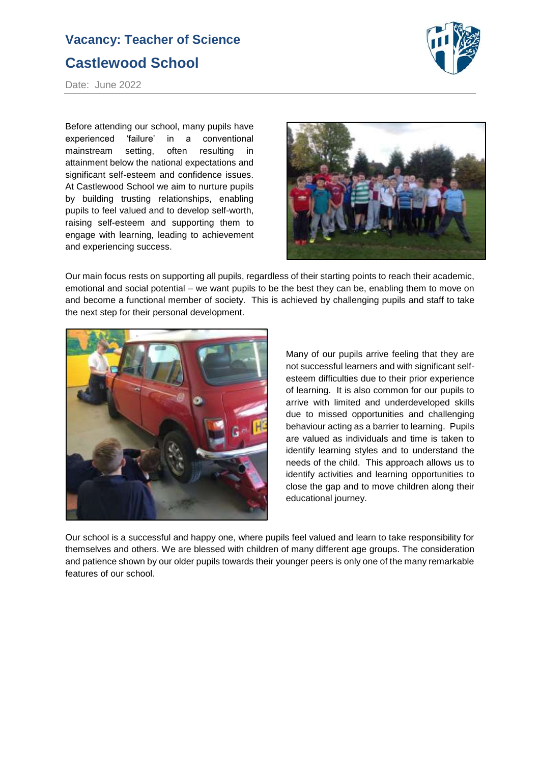

Date: June 2022

Before attending our school, many pupils have experienced 'failure' in a conventional mainstream setting, often resulting in attainment below the national expectations and significant self-esteem and confidence issues. At Castlewood School we aim to nurture pupils by building trusting relationships, enabling pupils to feel valued and to develop self-worth, raising self-esteem and supporting them to engage with learning, leading to achievement and experiencing success.



Our main focus rests on supporting all pupils, regardless of their starting points to reach their academic, emotional and social potential – we want pupils to be the best they can be, enabling them to move on and become a functional member of society. This is achieved by challenging pupils and staff to take the next step for their personal development.



Many of our pupils arrive feeling that they are not successful learners and with significant selfesteem difficulties due to their prior experience of learning. It is also common for our pupils to arrive with limited and underdeveloped skills due to missed opportunities and challenging behaviour acting as a barrier to learning. Pupils are valued as individuals and time is taken to identify learning styles and to understand the needs of the child. This approach allows us to identify activities and learning opportunities to close the gap and to move children along their educational journey.

Our school is a successful and happy one, where pupils feel valued and learn to take responsibility for themselves and others. We are blessed with children of many different age groups. The consideration and patience shown by our older pupils towards their younger peers is only one of the many remarkable features of our school.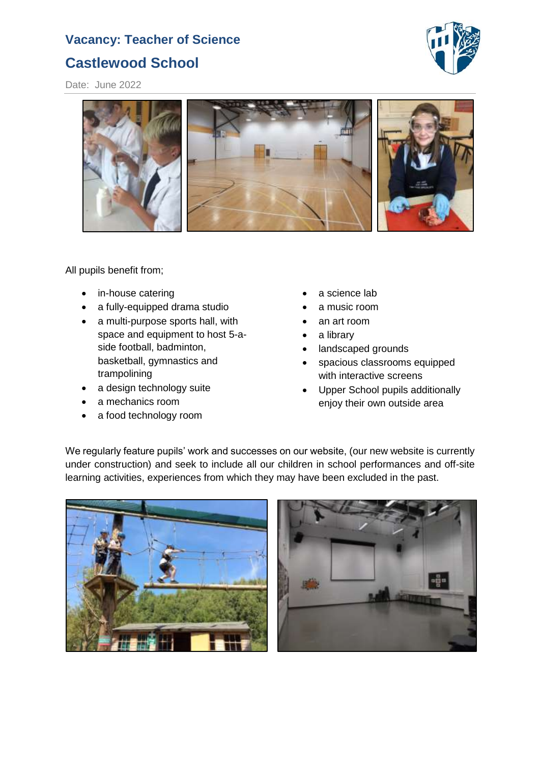

Date: June 2022



All pupils benefit from;

- in-house catering
- a fully-equipped drama studio
- a multi-purpose sports hall, with space and equipment to host 5-aside football, badminton, basketball, gymnastics and trampolining
- a design technology suite
- a mechanics room
- a food technology room
- a science lab
- a music room
- an art room
- a library
- landscaped grounds
- spacious classrooms equipped with interactive screens
- Upper School pupils additionally enjoy their own outside area

We regularly feature pupils' work and successes on our website, (our new website is currently under construction) and seek to include all our children in school performances and off-site learning activities, experiences from which they may have been excluded in the past.



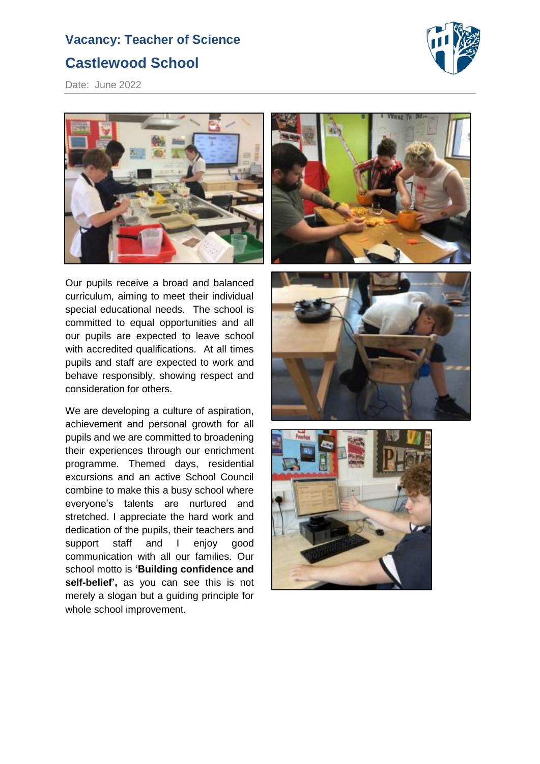

Date: June 2022



Our pupils receive a broad and balanced curriculum, aiming to meet their individual special educational needs. The school is committed to equal opportunities and all our pupils are expected to leave school with accredited qualifications. At all times pupils and staff are expected to work and behave responsibly, showing respect and consideration for others.

We are developing a culture of aspiration, achievement and personal growth for all pupils and we are committed to broadening their experiences through our enrichment programme. Themed days, residential excursions and an active School Council combine to make this a busy school where everyone's talents are nurtured and stretched. I appreciate the hard work and dedication of the pupils, their teachers and support staff and I enjoy good communication with all our families. Our school motto is **'Building confidence and self-belief',** as you can see this is not merely a slogan but a guiding principle for whole school improvement.





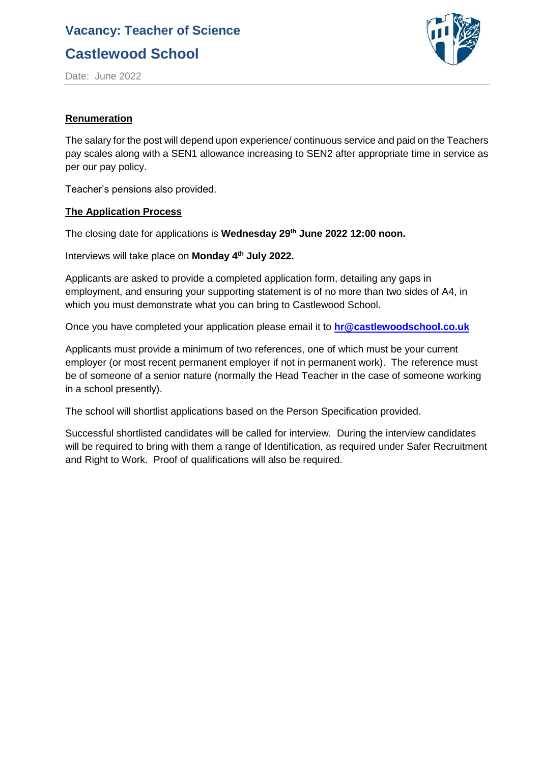**Castlewood School**



Date: June 2022

#### **Renumeration**

The salary for the post will depend upon experience/ continuous service and paid on the Teachers pay scales along with a SEN1 allowance increasing to SEN2 after appropriate time in service as per our pay policy.

Teacher's pensions also provided.

#### **The Application Process**

The closing date for applications is **Wednesday 29th June 2022 12:00 noon.**

Interviews will take place on **Monday 4th July 2022.**

Applicants are asked to provide a completed application form, detailing any gaps in employment, and ensuring your supporting statement is of no more than two sides of A4, in which you must demonstrate what you can bring to Castlewood School.

Once you have completed your application please email it to **[hr@castlewoodschool.co.uk](mailto:hr@castlewoodschool.co.uk)**

Applicants must provide a minimum of two references, one of which must be your current employer (or most recent permanent employer if not in permanent work). The reference must be of someone of a senior nature (normally the Head Teacher in the case of someone working in a school presently).

The school will shortlist applications based on the Person Specification provided.

Successful shortlisted candidates will be called for interview. During the interview candidates will be required to bring with them a range of Identification, as required under Safer Recruitment and Right to Work. Proof of qualifications will also be required.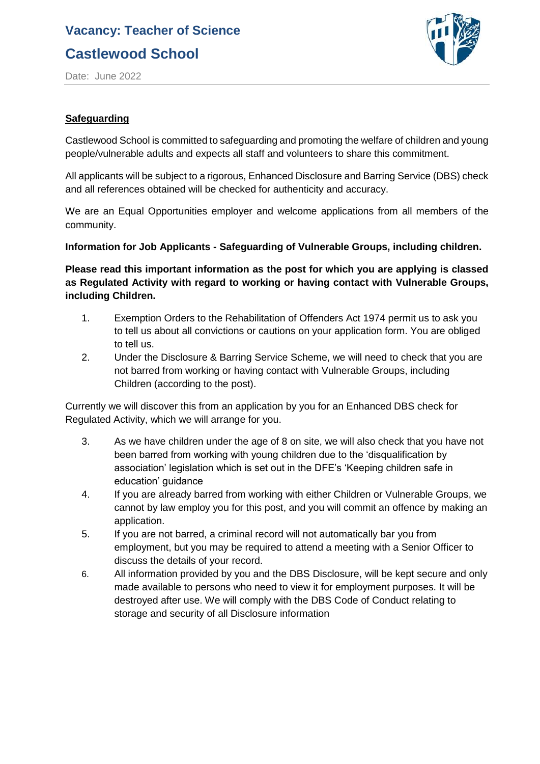# **Castlewood School**



Date: June 2022

### **Safeguarding**

Castlewood School is committed to safeguarding and promoting the welfare of children and young people/vulnerable adults and expects all staff and volunteers to share this commitment.

All applicants will be subject to a rigorous, Enhanced Disclosure and Barring Service (DBS) check and all references obtained will be checked for authenticity and accuracy.

We are an Equal Opportunities employer and welcome applications from all members of the community.

### **Information for Job Applicants - Safeguarding of Vulnerable Groups, including children.**

**Please read this important information as the post for which you are applying is classed as Regulated Activity with regard to working or having contact with Vulnerable Groups, including Children.**

- 1. Exemption Orders to the Rehabilitation of Offenders Act 1974 permit us to ask you to tell us about all convictions or cautions on your application form. You are obliged to tell us.
- 2. Under the Disclosure & Barring Service Scheme, we will need to check that you are not barred from working or having contact with Vulnerable Groups, including Children (according to the post).

Currently we will discover this from an application by you for an Enhanced DBS check for Regulated Activity, which we will arrange for you.

- 3. As we have children under the age of 8 on site, we will also check that you have not been barred from working with young children due to the 'disqualification by association' legislation which is set out in the DFE's 'Keeping children safe in education' guidance
- 4. If you are already barred from working with either Children or Vulnerable Groups, we cannot by law employ you for this post, and you will commit an offence by making an application.
- 5. If you are not barred, a criminal record will not automatically bar you from employment, but you may be required to attend a meeting with a Senior Officer to discuss the details of your record.
- 6. All information provided by you and the DBS Disclosure, will be kept secure and only made available to persons who need to view it for employment purposes. It will be destroyed after use. We will comply with the DBS Code of Conduct relating to storage and security of all Disclosure information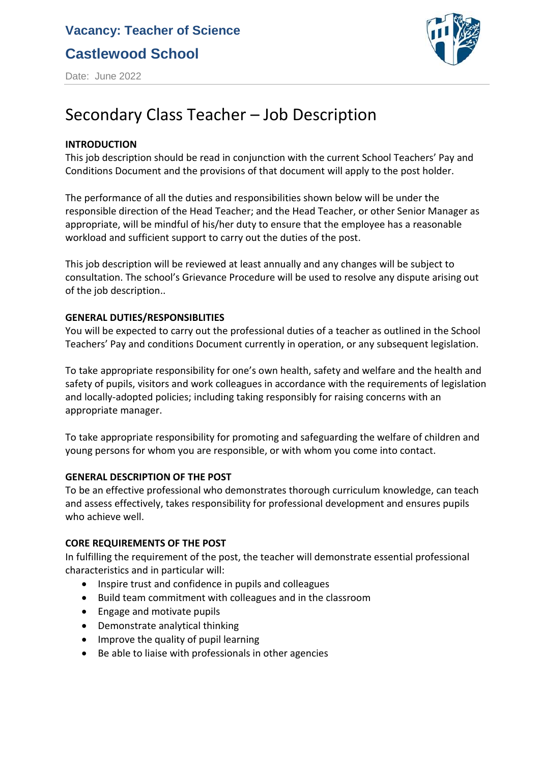**Castlewood School**



Date: June 2022

# Secondary Class Teacher – Job Description

### **INTRODUCTION**

This job description should be read in conjunction with the current School Teachers' Pay and Conditions Document and the provisions of that document will apply to the post holder.

The performance of all the duties and responsibilities shown below will be under the responsible direction of the Head Teacher; and the Head Teacher, or other Senior Manager as appropriate, will be mindful of his/her duty to ensure that the employee has a reasonable workload and sufficient support to carry out the duties of the post.

This job description will be reviewed at least annually and any changes will be subject to consultation. The school's Grievance Procedure will be used to resolve any dispute arising out of the job description..

### **GENERAL DUTIES/RESPONSIBLITIES**

You will be expected to carry out the professional duties of a teacher as outlined in the School Teachers' Pay and conditions Document currently in operation, or any subsequent legislation.

To take appropriate responsibility for one's own health, safety and welfare and the health and safety of pupils, visitors and work colleagues in accordance with the requirements of legislation and locally-adopted policies; including taking responsibly for raising concerns with an appropriate manager.

To take appropriate responsibility for promoting and safeguarding the welfare of children and young persons for whom you are responsible, or with whom you come into contact.

### **GENERAL DESCRIPTION OF THE POST**

To be an effective professional who demonstrates thorough curriculum knowledge, can teach and assess effectively, takes responsibility for professional development and ensures pupils who achieve well.

### **CORE REQUIREMENTS OF THE POST**

In fulfilling the requirement of the post, the teacher will demonstrate essential professional characteristics and in particular will:

- Inspire trust and confidence in pupils and colleagues
- Build team commitment with colleagues and in the classroom
- Engage and motivate pupils
- Demonstrate analytical thinking
- Improve the quality of pupil learning
- Be able to liaise with professionals in other agencies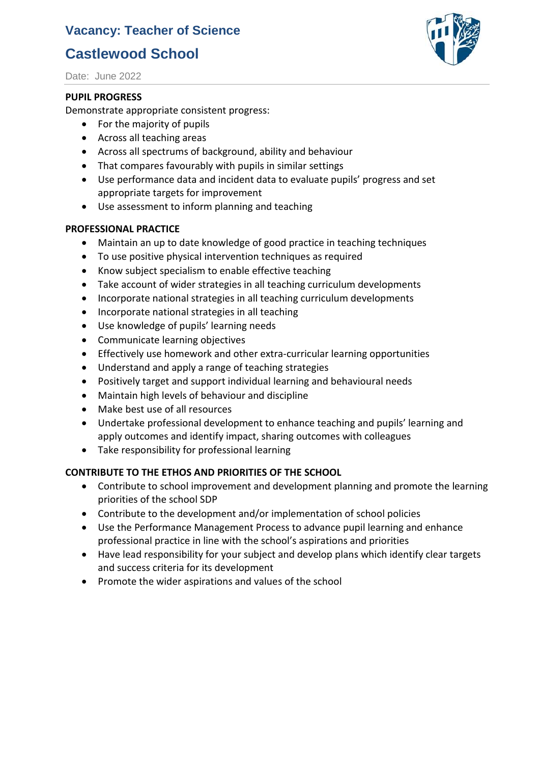# **Castlewood School**

Date: June 2022

#### **PUPIL PROGRESS**

Demonstrate appropriate consistent progress:

- For the majority of pupils
- Across all teaching areas
- Across all spectrums of background, ability and behaviour
- That compares favourably with pupils in similar settings
- Use performance data and incident data to evaluate pupils' progress and set appropriate targets for improvement
- Use assessment to inform planning and teaching

### **PROFESSIONAL PRACTICE**

- Maintain an up to date knowledge of good practice in teaching techniques
- To use positive physical intervention techniques as required
- Know subject specialism to enable effective teaching
- Take account of wider strategies in all teaching curriculum developments
- Incorporate national strategies in all teaching curriculum developments
- Incorporate national strategies in all teaching
- Use knowledge of pupils' learning needs
- Communicate learning objectives
- Effectively use homework and other extra-curricular learning opportunities
- Understand and apply a range of teaching strategies
- Positively target and support individual learning and behavioural needs
- Maintain high levels of behaviour and discipline
- Make best use of all resources
- Undertake professional development to enhance teaching and pupils' learning and apply outcomes and identify impact, sharing outcomes with colleagues
- Take responsibility for professional learning

### **CONTRIBUTE TO THE ETHOS AND PRIORITIES OF THE SCHOOL**

- Contribute to school improvement and development planning and promote the learning priorities of the school SDP
- Contribute to the development and/or implementation of school policies
- Use the Performance Management Process to advance pupil learning and enhance professional practice in line with the school's aspirations and priorities
- Have lead responsibility for your subject and develop plans which identify clear targets and success criteria for its development
- Promote the wider aspirations and values of the school

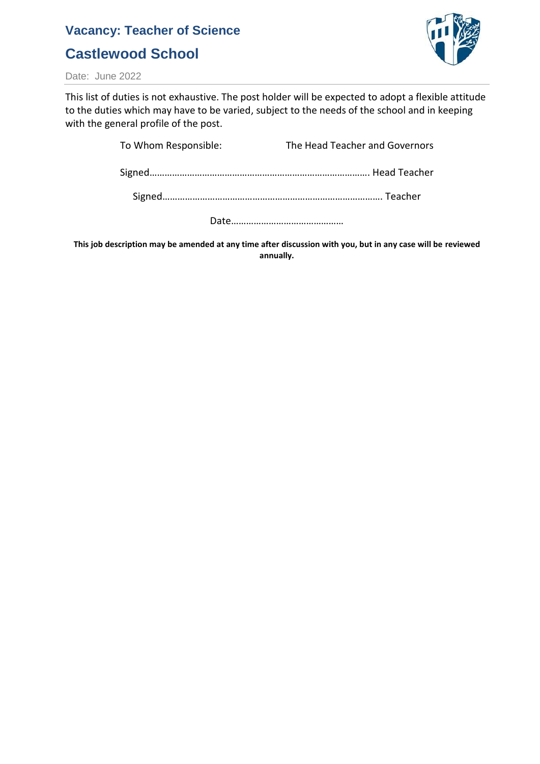# **Castlewood School**



Date: June 2022

This list of duties is not exhaustive. The post holder will be expected to adopt a flexible attitude to the duties which may have to be varied, subject to the needs of the school and in keeping with the general profile of the post.

> To Whom Responsible: The Head Teacher and Governors Signed……………………………………………………………………………. Head Teacher Signed……………………………………………………………………………. Teacher

Date………………………………………

**This job description may be amended at any time after discussion with you, but in any case will be reviewed annually.**